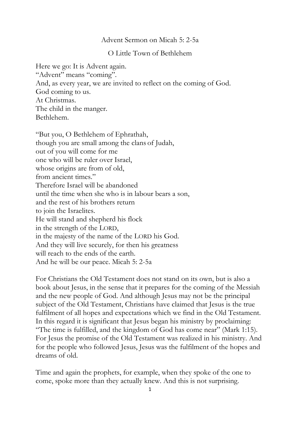## Advent Sermon on Micah 5: 2-5a

O Little Town of Bethlehem

Here we go: It is Advent again. "Advent" means "coming". And, as every year, we are invited to reflect on the coming of God. God coming to us. At Christmas. The child in the manger. Bethlehem.

"But you, O Bethlehem of Ephrathah, though you are small among the clans of Judah, out of you will come for me one who will be ruler over Israel, whose origins are from of old, from ancient times." Therefore Israel will be abandoned until the time when she who is in labour bears a son, and the rest of his brothers return to join the Israelites. He will stand and shepherd his flock in the strength of the LORD, in the majesty of the name of the LORD his God. And they will live securely, for then his greatness will reach to the ends of the earth. And he will be our peace. Micah 5: 2-5a

For Christians the Old Testament does not stand on its own, but is also a book about Jesus, in the sense that it prepares for the coming of the Messiah and the new people of God. And although Jesus may not be the principal subject of the Old Testament, Christians have claimed that Jesus is the true fulfilment of all hopes and expectations which we find in the Old Testament. In this regard it is significant that Jesus began his ministry by proclaiming: "The time is fulfilled, and the kingdom of God has come near" (Mark 1:15). For Jesus the promise of the Old Testament was realized in his ministry. And for the people who followed Jesus, Jesus was the fulfilment of the hopes and dreams of old.

Time and again the prophets, for example, when they spoke of the one to come, spoke more than they actually knew. And this is not surprising.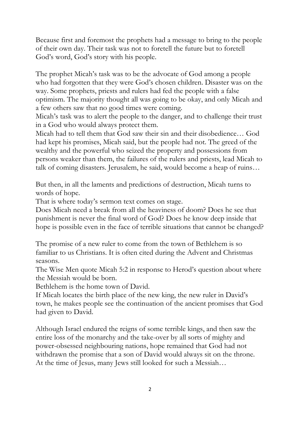Because first and foremost the prophets had a message to bring to the people of their own day. Their task was not to foretell the future but to foretell God's word, God's story with his people.

The prophet Micah's task was to be the advocate of God among a people who had forgotten that they were God's chosen children. Disaster was on the way. Some prophets, priests and rulers had fed the people with a false optimism. The majority thought all was going to be okay, and only Micah and a few others saw that no good times were coming.

Micah's task was to alert the people to the danger, and to challenge their trust in a God who would always protect them.

Micah had to tell them that God saw their sin and their disobedience… God had kept his promises, Micah said, but the people had not. The greed of the wealthy and the powerful who seized the property and possessions from persons weaker than them, the failures of the rulers and priests, lead Micah to talk of coming disasters. Jerusalem, he said, would become a heap of ruins…

But then, in all the laments and predictions of destruction, Micah turns to words of hope.

That is where today's sermon text comes on stage.

Does Micah need a break from all the heaviness of doom? Does he see that punishment is never the final word of God? Does he know deep inside that hope is possible even in the face of terrible situations that cannot be changed?

The promise of a new ruler to come from the town of Bethlehem is so familiar to us Christians. It is often cited during the Advent and Christmas seasons.

The Wise Men quote Micah 5:2 in response to Herod's question about where the Messiah would be born.

Bethlehem is the home town of David.

If Micah locates the birth place of the new king, the new ruler in David's town, he makes people see the continuation of the ancient promises that God had given to David.

Although Israel endured the reigns of some terrible kings, and then saw the entire loss of the monarchy and the take-over by all sorts of mighty and power-obsessed neighbouring nations, hope remained that God had not withdrawn the promise that a son of David would always sit on the throne. At the time of Jesus, many Jews still looked for such a Messiah…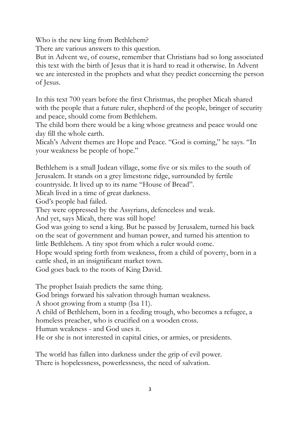Who is the new king from Bethlehem?

There are various answers to this question.

But in Advent we, of course, remember that Christians had so long associated this text with the birth of Jesus that it is hard to read it otherwise. In Advent we are interested in the prophets and what they predict concerning the person of Jesus.

In this text 700 years before the first Christmas, the prophet Micah shared with the people that a future ruler, shepherd of the people, bringer of security and peace, should come from Bethlehem.

The child born there would be a king whose greatness and peace would one day fill the whole earth.

Micah's Advent themes are Hope and Peace. "God is coming," he says. "In your weakness be people of hope."

Bethlehem is a small Judean village, some five or six miles to the south of Jerusalem. It stands on a grey limestone ridge, surrounded by fertile

countryside. It lived up to its name "House of Bread".

Micah lived in a time of great darkness.

God's people had failed.

They were oppressed by the Assyrians, defenceless and weak.

And yet, says Micah, there was still hope!

God was going to send a king. But he passed by Jerusalem, turned his back on the seat of government and human power, and turned his attention to little Bethlehem. A tiny spot from which a ruler would come.

Hope would spring forth from weakness, from a child of poverty, born in a cattle shed, in an insignificant market town.

God goes back to the roots of King David.

The prophet Isaiah predicts the same thing.

God brings forward his salvation through human weakness.

A shoot growing from a stump (Isa 11).

A child of Bethlehem, born in a feeding trough, who becomes a refugee, a

homeless preacher, who is crucified on a wooden cross.

Human weakness - and God uses it.

He or she is not interested in capital cities, or armies, or presidents.

The world has fallen into darkness under the grip of evil power. There is hopelessness, powerlessness, the need of salvation.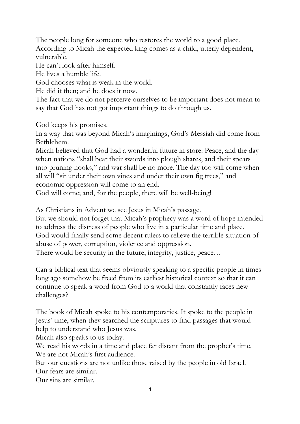The people long for someone who restores the world to a good place. According to Micah the expected king comes as a child, utterly dependent, vulnerable.

He can't look after himself.

He lives a humble life.

God chooses what is weak in the world.

He did it then; and he does it now.

The fact that we do not perceive ourselves to be important does not mean to say that God has not got important things to do through us.

God keeps his promises.

In a way that was beyond Micah's imaginings, God's Messiah did come from Bethlehem.

Micah believed that God had a wonderful future in store: Peace, and the day when nations "shall beat their swords into plough shares, and their spears into pruning hooks," and war shall be no more. The day too will come when all will "sit under their own vines and under their own fig trees," and economic oppression will come to an end.

God will come; and, for the people, there will be well-being!

As Christians in Advent we see Jesus in Micah's passage.

But we should not forget that Micah's prophecy was a word of hope intended to address the distress of people who live in a particular time and place. God would finally send some decent rulers to relieve the terrible situation of abuse of power, corruption, violence and oppression.

There would be security in the future, integrity, justice, peace…

Can a biblical text that seems obviously speaking to a specific people in times long ago somehow be freed from its earliest historical context so that it can continue to speak a word from God to a world that constantly faces new challenges?

The book of Micah spoke to his contemporaries. It spoke to the people in Jesus' time, when they searched the scriptures to find passages that would help to understand who Jesus was.

Micah also speaks to us today.

We read his words in a time and place far distant from the prophet's time. We are not Micah's first audience.

But our questions are not unlike those raised by the people in old Israel.

Our fears are similar.

Our sins are similar.